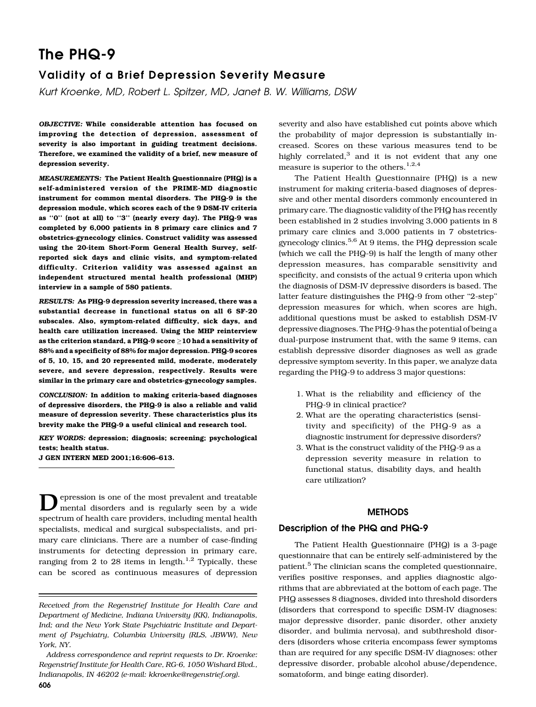# The PHQ-9

# Validity of a Brief Depression Severity Measure

Kurt Kroenke, MD, Robert L. Spitzer, MD, Janet B. W. Williams, DSW

OBJECTIVE: While considerable attention has focused on improving the detection of depression, assessment of severity is also important in guiding treatment decisions. Therefore, we examined the validity of a brief, new measure of depression severity.

MEASUREMENTS: The Patient Health Questionnaire (PHQ) is a self-administered version of the PRIME-MD diagnostic instrument for common mental disorders. The PHQ-9 is the depression module, which scores each of the 9 DSM-IV criteria as "0" (not at all) to "3" (nearly every day). The PHQ-9 was completed by 6,000 patients in 8 primary care clinics and 7 obstetrics-gynecology clinics. Construct validity was assessed using the 20-item Short-Form General Health Survey, selfreported sick days and clinic visits, and symptom-related difficulty. Criterion validity was assessed against an independent structured mental health professional (MHP) interview in a sample of 580 patients.

RESULTS: As PHQ-9 depression severity increased, there was a substantial decrease in functional status on all 6 SF-20 subscales. Also, symptom-related difficulty, sick days, and health care utilization increased. Using the MHP reinterview as the criterion standard, a PHQ-9 score  $\geq$  10 had a sensitivity of 88% and a specificity of 88% for major depression. PHQ-9 scores of 5, 10, 15, and 20 represented mild, moderate, moderately severe, and severe depression, respectively. Results were similar in the primary care and obstetrics-gynecology samples.

CONCLUSION: In addition to making criteria-based diagnoses of depressive disorders, the PHQ-9 is also a reliable and valid measure of depression severity. These characteristics plus its brevity make the PHQ-9 a useful clinical and research tool.

KEY WORDS: depression; diagnosis; screening; psychological tests; health status.

J GEN INTERN MED 2001;16:606-613.

 $\sum$  epression is one of the most prevalent and treatable<br>mental disorders and is regularly seen by a wide spectrum of health care providers, including mental health specialists, medical and surgical subspecialists, and primary care clinicians. There are a number of case-finding instruments for detecting depression in primary care, ranging from 2 to 28 items in length. $1.2$  Typically, these can be scored as continuous measures of depression

severity and also have established cut points above which the probability of major depression is substantially increased. Scores on these various measures tend to be highly correlated, $3$  and it is not evident that any one measure is superior to the others.<sup>1,2,4</sup>

The Patient Health Questionnaire (PHQ) is a new instrument for making criteria-based diagnoses of depressive and other mental disorders commonly encountered in primary care. The diagnostic validity of the PHQ has recently been established in 2 studies involving 3,000 patients in 8 primary care clinics and 3,000 patients in 7 obstetricsgynecology clinics.<sup>5,6</sup> At 9 items, the PHQ depression scale (which we call the PHQ-9) is half the length of many other depression measures, has comparable sensitivity and specificity, and consists of the actual 9 criteria upon which the diagnosis of DSM-IV depressive disorders is based. The latter feature distinguishes the PHQ-9 from other "2-step" depression measures for which, when scores are high, additional questions must be asked to establish DSM-IV depressive diagnoses. The PHQ-9 has the potential of being a dual-purpose instrument that, with the same 9 items, can establish depressive disorder diagnoses as well as grade depressive symptom severity. In this paper, we analyze data regarding the PHQ-9 to address 3 major questions:

- 1. What is the reliability and efficiency of the PHQ-9 in clinical practice?
- 2. What are the operating characteristics (sensitivity and specificity) of the PHQ-9 as a diagnostic instrument for depressive disorders?
- 3. What is the construct validity of the PHQ-9 as a depression severity measure in relation to functional status, disability days, and health care utilization?

### **METHODS**

### Description of the PHQ and PHQ-9

The Patient Health Questionnaire (PHQ) is a 3-page questionnaire that can be entirely self-administered by the patient.<sup>5</sup> The clinician scans the completed questionnaire, verifies positive responses, and applies diagnostic algorithms that are abbreviated at the bottom of each page. The PHQ assesses 8 diagnoses, divided into threshold disorders (disorders that correspond to specific DSM-IV diagnoses: major depressive disorder, panic disorder, other anxiety disorder, and bulimia nervosa), and subthreshold disorders (disorders whose criteria encompass fewer symptoms than are required for any specific DSM-IV diagnoses: other depressive disorder, probable alcohol abuse/dependence, somatoform, and binge eating disorder).

Received from the Regenstrief Institute for Health Care and Department of Medicine, Indiana University (KK}, Indianapolis, Ind; and the New York State Psychiatric Institute and Department of Psychiatry, Columbia University (RLS, JBWW}, New York, NY.

Address correspondence and reprint requests to Dr. Kroenke: Regenstrief Institute for Health Care, RG-6, 1050 Wishard Blvd., Indianapolis, IN46202 (e-mail: kkroenke@regenstrief.org}.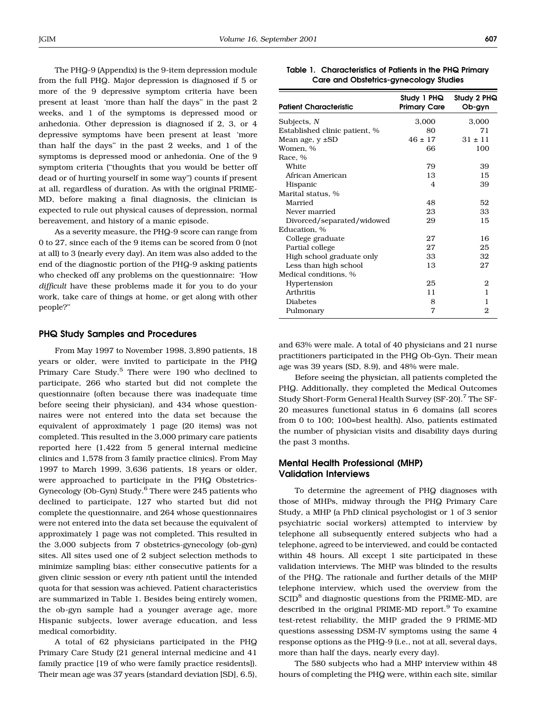The PHQ-9 (Appendix) is the 9-item depression module from the full PHQ. Major depression is diagnosed if 5 or more of the 9 depressive symptom criteria have been present at least 'more than half the days" in the past 2 weeks, and 1 of the symptoms is depressed mood or anhedonia. Other depression is diagnosed if 2, 3, or 4 depressive symptoms have been present at least 'more than half the days" in the past  $2$  weeks, and  $1$  of the symptoms is depressed mood or anhedonia. One of the 9 symptom criteria ("thoughts that you would be better off dead or of hurting yourself in some way") counts if present at all, regardless of duration. As with the original PRIME-MD, before making a final diagnosis, the clinician is expected to rule out physical causes of depression, normal bereavement, and history of a manic episode.

As a severity measure, the PHQ-9 score can range from 0 to 27, since each of the 9 items can be scored from 0 (not at all) to 3 (nearly every day). An item was also added to the end of the diagnostic portion of the PHQ-9 asking patients who checked off any problems on the questionnaire: How difficult have these problems made it for you to do your work, take care of things at home, or get along with other people?"

#### PHQ Study Samples and Procedures

From May 1997 to November 1998, 3,890 patients, 18 years or older, were invited to participate in the PHQ Primary Care Study.<sup>5</sup> There were 190 who declined to participate, 266 who started but did not complete the questionnaire (often because there was inadequate time before seeing their physician), and 434 whose questionnaires were not entered into the data set because the equivalent of approximately 1 page (20 items) was not completed. This resulted in the 3,000 primary care patients reported here (1,422 from 5 general internal medicine clinics and 1,578 from 3 family practice clinics). From May 1997 to March 1999, 3,636 patients, 18 years or older, were approached to participate in the PHQ Obstetrics-Gynecology (Ob-Gyn) Study.<sup>6</sup> There were 245 patients who declined to participate, 127 who started but did not complete the questionnaire, and 264whose questionnaires were not entered into the data set because the equivalent of approximately 1 page was not completed. This resulted in the 3,000 subjects from 7 obstetrics-gynecology (ob-gyn) sites. All sites used one of 2 subject selection methods to minimize sampling bias: either consecutive patients for a given clinic session or every nth patient until the intended quota for that session was achieved. Patient characteristics are summarized in Table 1. Besides being entirely women, the ob-gyn sample had a younger average age, more Hispanic subjects, lower average education, and less medical comorbidity.

A total of 62 physicians participated in the PHQ Primary Care Study (21 general internal medicine and 41 family practice [19 of who were family practice residents]). Their mean age was 37 years (standard deviation [SD], 6.5),

| <b>Patient Characteristic</b> | Study 1 PHQ<br><b>Primary Care</b> | Study 2 PHQ<br>Ob-gyn |
|-------------------------------|------------------------------------|-----------------------|
| Subjects, $N$                 | 3,000                              | 3,000                 |
| Established clinic patient, % | 80                                 | 71                    |
| Mean age, $y \pm SD$          | $46 \pm 17$                        | $31 \pm 11$           |
| Women. %                      | 66                                 | 100                   |
| Race, %                       |                                    |                       |
| White                         | 79                                 | 39                    |
| African American              | 13                                 | 15                    |
| Hispanic                      | $\overline{4}$                     | 39                    |
| Marital status, %             |                                    |                       |
| Married                       | 48                                 | 52                    |
| Never married                 | 23                                 | 33                    |
| Divorced/separated/widowed    | 29                                 | 15                    |
| Education. %                  |                                    |                       |
| College graduate              | 27                                 | 16                    |
| Partial college               | 27                                 | 25                    |
| High school graduate only     | 33                                 | 32                    |
| Less than high school         | 13                                 | 27                    |
| Medical conditions, %         |                                    |                       |
| Hypertension                  | 25                                 | 2                     |
| Arthritis                     | 11                                 | 1                     |
| <b>Diabetes</b>               | 8                                  | 1                     |
| Pulmonary                     | 7                                  | $\overline{2}$        |

Table 1. Characteristics of Patients in the PHQ Primary Care and Obstetrics-gynecology Studies

and 63% were male. A total of 40 physicians and 21 nurse practitioners participated in the PHQ Ob-Gyn. Their mean age was 39 years (SD, 8.9), and 48% were male.

Before seeing the physician, all patients completed the PHQ. Additionally, they completed the Medical Outcomes Study Short-Form General Health Survey (SF-20).<sup>7</sup> The SF-20 measures functional status in 6 domains (all scores from 0 to 100: 100=best health). Also, patients estimated the number of physician visits and disability days during the past 3 months.

### Mental Health Professional (MHP) Validation Interviews

To determine the agreement of PHQ diagnoses with those of MHPs, midway through the PHQ Primary Care Study, a MHP (a PhD clinical psychologist or 1 of 3 senior psychiatric social workers) attempted to interview by telephone all subsequently entered subjects who had a telephone, agreed to be interviewed, and could be contacted within 48 hours. All except 1 site participated in these validation interviews. The MHP was blinded to the results of the PHQ. The rationale and further details of the MHP telephone interview, which used the overview from the  $SCID<sup>8</sup>$  and diagnostic questions from the PRIME-MD, are described in the original PRIME-MD report.<sup>9</sup> To examine test-retest reliability, the MHP graded the 9 PRIME-MD questions assessing DSM-IV symptoms using the same 4 response options as the PHQ-9 (i.e., not at all, several days, more than half the days, nearly every day).

The 580 subjects who had a MHP interview within 48 hours of completing the PHQ were, within each site, similar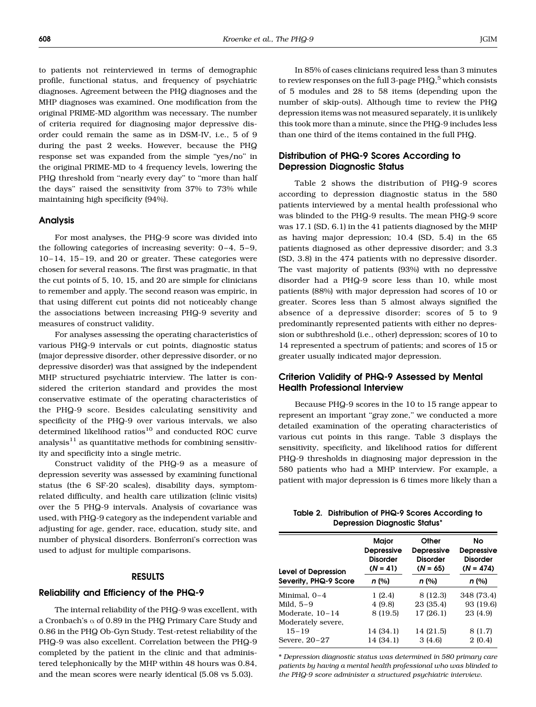to patients not reinterviewed in terms of demographic profile, functional status, and frequency of psychiatric diagnoses. Agreement between the PHQ diagnoses and the MHP diagnoses was examined. One modification from the original PRIME-MD algorithm was necessary. The number of criteria required for diagnosing major depressive disorder could remain the same as in DSM-IV, i.e., 5 of 9 during the past 2 weeks. However, because the PHQ response set was expanded from the simple "yes/no" in the original PRIME-MD to 4 frequency levels, lowering the PHQ threshold from "nearly every day" to "more than half the days" raised the sensitivity from 37% to 73% while maintaining high specificity (94%).

### Analysis

For most analyses, the PHQ-9 score was divided into the following categories of increasing severity:  $0-4$ ,  $5-9$ , 10 - 14, 15 - 19, and 20 or greater. These categories were chosen for several reasons. The first was pragmatic, in that the cut points of 5, 10, 15, and 20 are simple for clinicians to remember and apply. The second reason was empiric, in that using different cut points did not noticeably change the associations between increasing PHQ-9 severity and measures of construct validity.

For analyses assessing the operating characteristics of various PHQ-9 intervals or cut points, diagnostic status (major depressive disorder, other depressive disorder, or no depressive disorder) was that assigned by the independent MHP structured psychiatric interview. The latter is considered the criterion standard and provides the most conservative estimate of the operating characteristics of the PHQ-9 score. Besides calculating sensitivity and specificity of the PHQ-9 over various intervals, we also determined likelihood ratios $10$  and conducted ROC curve analysis $11$  as quantitative methods for combining sensitivity and specificity into a single metric.

Construct validity of the PHQ-9 as a measure of depression severity was assessed by examining functional status (the 6 SF-20 scales), disability days, symptomrelated difficulty, and health care utilization (clinic visits) over the 5 PHQ-9 intervals. Analysis of covariance was used, with PHQ-9 category as the independent variable and adjusting for age, gender, race, education, study site, and number of physical disorders. Bonferroni's correction was used to adjust for multiple comparisons.

### RESULTS

### Reliability and Efficiency of the PHQ-9

The internal reliability of the PHQ-9 was excellent, with a Cronbach's  $\alpha$  of 0.89 in the PHQ Primary Care Study and 0.86 in the PHQ Ob-Gyn Study. Test-retest reliability of the PHQ-9 was also excellent. Correlation between the PHQ-9 completed by the patient in the clinic and that administered telephonically by the MHP within 48 hours was 0.84, and the mean scores were nearly identical (5.08 vs 5.03).

In 85% of cases clinicians required less than 3 minutes to review responses on the full 3-page PH $Q<sub>1</sub>$ <sup>5</sup> which consists of 5 modules and 28 to 58 items (depending upon the number of skip-outs). Although time to review the PHQ depression items was not measured separately, it is unlikely this took more than a minute, since the PHQ-9 includes less than one third of the items contained in the full PHQ.

# Distribution of PHQ-9 Scores According to Depression Diagnostic Status

Table 2 shows the distribution of PHQ-9 scores according to depression diagnostic status in the 580 patients interviewed by a mental health professional who was blinded to the PHQ-9 results. The mean PHQ-9 score was 17.1 (SD, 6.1) in the 41 patients diagnosed by the MHP as having major depression: 10.4(SD, 5.4) in the 65 patients diagnosed as other depressive disorder: and 3.3 (SD, 3.8) in the 474 patients with no depressive disorder. The vast majority of patients (93%) with no depressive disorder had a PHQ-9 score less than 10, while most patients (88%) with major depression had scores of 10 or greater. Scores less than 5 almost always signified the absence of a depressive disorder: scores of 5 to 9 predominantly represented patients with either no depression or subthreshold (i.e., other) depression: scores of 10 to 14 represented a spectrum of patients; and scores of 15 or greater usually indicated major depression.

### Criterion Validity of PHQ-9 Assessed by Mental Health Professional Interview

Because PHQ-9 scores in the 10 to 15 range appear to represent an important "gray zone," we conducted a more detailed examination of the operating characteristics of various cut points in this range. Table 3 displays the sensitivity, specificity, and likelihood ratios for different PHQ-9 thresholds in diagnosing major depression in the 580 patients who had a MHP interview. For example, a patient with major depression is 6 times more likely than a

| Table 2. Distribution of PHQ-9 Scores According to |
|----------------------------------------------------|
| <b>Depression Diagnostic Status*</b>               |

| Major<br><b>Depressive</b>    | Other<br><b>Depressive</b>    | No<br>Depressive               |
|-------------------------------|-------------------------------|--------------------------------|
| <b>Disorder</b><br>$(N = 41)$ | <b>Disorder</b><br>$(N = 65)$ | <b>Disorder</b><br>$(N = 474)$ |
| n (%)                         | n(%)                          | n (%)                          |
| 1(2.4)                        | 8 (12.3)                      | 348 (73.4)                     |
| 4(9.8)                        | 23 (35.4)                     | 93 (19.6)                      |
| 8 (19.5)                      | 17(26.1)                      | 23 (4.9)                       |
|                               |                               |                                |
| 14 (34.1)                     | 14(21.5)                      | 8(1.7)                         |
| 14 (34.1)                     | 3(4.6)                        | 2(0.4)                         |
|                               |                               |                                |

\* Depression diagnostic status was determined in 580 primary care patients by having a mental health professional who was blinded to the PHQ-9 score administer a structured psychiatric interview.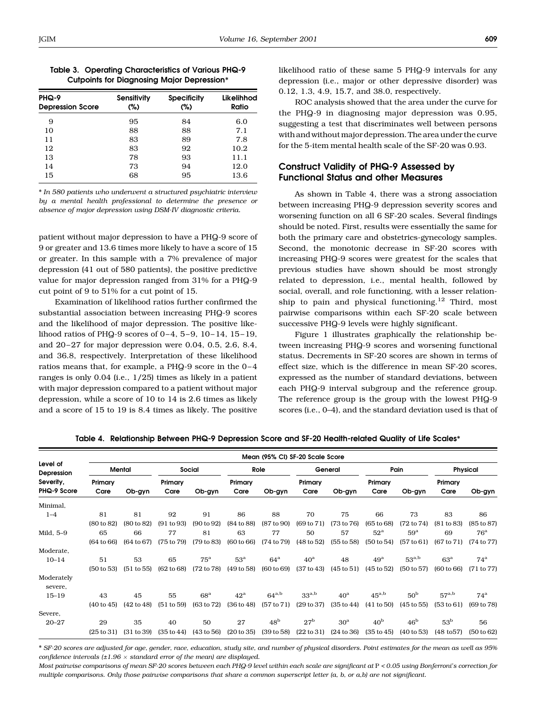|  | Table 3. Operating Characteristics of Various PHQ-9 |  |  |
|--|-----------------------------------------------------|--|--|
|  | <b>Cutpoints for Diagnosing Major Depression*</b>   |  |  |

| PHQ-9<br><b>Depression Score</b> | <b>Sensitivity</b><br>(%) | <b>Specificity</b><br>(%) | Likelihhod<br>Ratio |
|----------------------------------|---------------------------|---------------------------|---------------------|
| 9                                | 95                        | 84                        | 6.0                 |
| 10                               | 88                        | 88                        | 7.1                 |
| 11                               | 83                        | 89                        | 7.8                 |
| 12                               | 83                        | 92                        | 10.2                |
| 13                               | 78                        | 93                        | 11.1                |
| 14                               | 73                        | 94                        | 12.0                |
| 15                               | 68                        | 95                        | 13.6                |

\* In 580 patients who underwent a structured psychiatric interview by a mental health professional to determine the presence or absence of major depression using DSM-IV diagnostic criteria.

patient without major depression to have a PHQ-9 score of 9 or greater and 13.6 times more likely to have a score of 15 or greater. In this sample with a 7% prevalence of major depression (41 out of 580 patients), the positive predictive value for major depression ranged from 31% for a PHQ-9 cut point of 9 to 51% for a cut point of 15.

Examination of likelihood ratios further confirmed the substantial association between increasing PHQ-9 scores and the likelihood of major depression. The positive likelihood ratios of PHQ-9 scores of  $0-4$ ,  $5-9$ ,  $10-14$ ,  $15-19$ , and 20-27 for major depression were 0.04, 0.5, 2.6, 8.4, and 36.8, respectively. Interpretation of these likelihood ratios means that, for example, a PHQ-9 score in the 0-4 ranges is only  $0.04$  (i.e.,  $1/25$ ) times as likely in a patient with major depression compared to a patient without major depression, while a score of  $10$  to  $14$  is  $2.6$  times as likely and a score of 15 to 19 is 8.4 times as likely. The positive

likelihood ratio of these same 5 PHQ-9 intervals for any depression (i.e., major or other depressive disorder) was 0.12, 1.3, 4.9, 15.7, and 38.0, respectively.

ROC analysis showed that the area under the curve for the PHQ-9 in diagnosing major depression was 0.95, suggesting a test that discriminates well between persons withandwithoutmajor depression.The areaunder the curve for the 5-item mental health scale of the SF-20 was 0.93.

## Construct Validity of PHQ-9 Assessed by Functional Status and other Measures

As shown in Table 4, there was a strong association between increasing PHQ-9 depression severity scores and worsening function on all 6 SF-20 scales. Several findings should be noted. First, results were essentially the same for both the primary care and obstetrics-gynecology samples. Second, the monotonic decrease in SF-20 scores with increasing PHQ-9 scores were greatest for the scales that previous studies have shown should be most strongly related to depression, i.e., mental health, followed by social, overall, and role functioning, with a lesser relationship to pain and physical functioning.<sup>12</sup> Third, most pairwise comparisons within each SF-20 scale between successive PHQ-9 levels were highly significant.

Figure 1 illustrates graphically the relationship between increasing PHQ-9 scores and worsening functional status. Decrements in SF-20 scores are shown in terms of effect size, which is the difference in mean SF-20 scores, expressed as the number of standard deviations, between each PHQ-9 interval subgroup and the reference group. The reference group is the group with the lowest PHQ-9 scores (i.e., 0-4), and the standard deviation used is that of

|                          |                       |                       |                       |                 |                       | Mean (95% CI) SF-20 Scale Score |                       |                       |                       |                       |                       |              |
|--------------------------|-----------------------|-----------------------|-----------------------|-----------------|-----------------------|---------------------------------|-----------------------|-----------------------|-----------------------|-----------------------|-----------------------|--------------|
| Level of<br>Depression   |                       | Mental                |                       | Social          |                       | Role                            |                       | General               |                       | Pain                  |                       | Physical     |
| Severity,<br>PHQ-9 Score | Primary<br>Care       | Ob-gyn                | Primary<br>Care       | Ob-gyn          | Primary<br>Care       | Ob-gyn                          | Primary<br>Care       | Ob-gyn                | Primary<br>Care       | Ob-gyn                | Primary<br>Care       | Ob-gyn       |
| Minimal,                 |                       |                       |                       |                 |                       |                                 |                       |                       |                       |                       |                       |              |
| $1 - 4$                  | 81                    | 81                    | 92                    | 91              | 86                    | 88                              | 70                    | 75                    | 66                    | 73                    | 83                    | 86           |
|                          | $(80 \text{ to } 82)$ | (80 to 82)            | (91 to 93)            | (90 to 92)      | (84 to 88)            | (87 to 90)                      | (69 to 71)            | (73 to 76)            | $(65 \text{ to } 68)$ | $(72 \text{ to } 74)$ | (81 to 83)            | (85 to 87)   |
| Mild, 5-9                | 65                    | 66                    | 77                    | 81              | 63                    | 77                              | 50                    | 57                    | $52^{\mathrm{a}}$     | $59^{\rm a}$          | 69                    | $76^{\rm a}$ |
|                          | (64 to 66)            | $(64 \text{ to } 67)$ | $(75 \text{ to } 79)$ | (79 to 83)      | $(60 \text{ to } 66)$ | (74 to 79)                      | $(48 \text{ to } 52)$ | (55 to 58)            | (50 to 54)            | (57 to 61)            | $(67 \text{ to } 71)$ | (74 to 77)   |
| Moderate,                |                       |                       |                       |                 |                       |                                 |                       |                       |                       |                       |                       |              |
| $10 - 14$                | 51                    | 53                    | 65                    | $75^{\rm a}$    | $53^{\rm a}$          | $64^{\mathrm{a}}$               | 40 <sup>a</sup>       | 48                    | $49^{\rm a}$          | $53^{a,b}$            | $63^{\rm a}$          | $74^{\rm a}$ |
|                          | $(50 \text{ to } 53)$ | (51 to 55)            | $(62 \text{ to } 68)$ | (72 to 78)      | (49 to 58)            | $(60 \text{ to } 69)$           | (37 to 43)            | $(45 \text{ to } 51)$ | $(45 \text{ to } 52)$ | (50 to 57)            | $(60 \text{ to } 66)$ | (71 to 77)   |
| Moderately<br>severe,    |                       |                       |                       |                 |                       |                                 |                       |                       |                       |                       |                       |              |
| $15 - 19$                | 43                    | 45                    | 55                    | 68 <sup>a</sup> | $42^{\mathrm{a}}$     | $64^{a,b}$                      | $33^{a,b}$            | 40 <sup>a</sup>       | $45^{a,b}$            | 50 <sup>b</sup>       | $57^{a,b}$            | $74^{\rm a}$ |
|                          | $(40 \text{ to } 45)$ | $(42 \text{ to } 48)$ | (51 to 59)            | (63 to 72)      | (36 to 48)            | (57 to 71)                      | (29 to 37)            | $(35 \text{ to } 44)$ | (41 to 50)            | $(45 \text{ to } 55)$ | (53 to 61)            | (69 to 78)   |
| Severe,                  |                       |                       |                       |                 |                       |                                 |                       |                       |                       |                       |                       |              |
| $20 - 27$                | 29                    | 35                    | 40                    | 50              | 27                    | 48 <sup>b</sup>                 | 27 <sup>b</sup>       | 30 <sup>a</sup>       | 40 <sup>b</sup>       | 46 <sup>b</sup>       | 53 <sup>b</sup>       | 56           |
|                          | $(25 \text{ to } 31)$ | (31 to 39)            | $(35 \text{ to } 44)$ | (43 to 56)      | (20 to 35)            | (39 to 58)                      | (22 to 31)            | (24 to 36)            | $(35 \text{ to } 45)$ | $(40 \text{ to } 53)$ | $(48 \text{ to } 57)$ | (50 to 62)   |

Table 4. Relationship Between PHQ-9 Depression Score and SF-20 Health-related Quality of Life Scales\*

\* SF-20 scores are adjusted for age, gender, race, education, study site, and number of physical disorders. Point estimates for the mean as well as 95% confidence intervals  $(\pm 1.96 \times \text{standard error of the mean})$  are displayed.

Most pairwise comparisons of mean SF-20 scores between each PHQ-9 level within each scale are significant at P <sup>&</sup>lt; 0.05 using Bonferroni's correction for multiple comparisons. Only those pairwise comparisons that share a common superscript letter (a, b, or a,b} are not significant.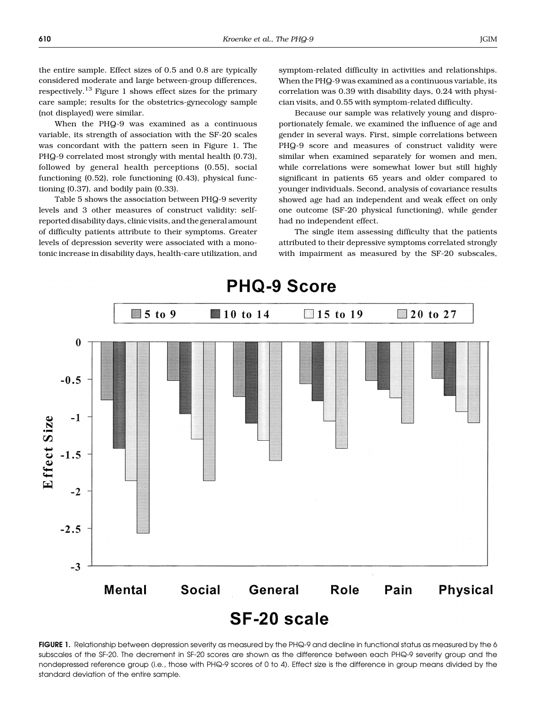the entire sample. Effect sizes of 0.5 and 0.8 are typically considered moderate and large between-group differences, respectively.<sup>13</sup> Figure 1 shows effect sizes for the primary care sample: results for the obstetrics-gynecology sample (not displayed) were similar.

When the PHQ-9 was examined as a continuous variable, its strength of association with the SF-20 scales was concordant with the pattern seen in Figure 1. The PHQ-9 correlated most strongly with mental health (0.73), followed by general health perceptions (0.55), social functioning (0.52), role functioning (0.43), physical functioning (0.37), and bodily pain (0.33).

Table 5 shows the association between PHQ-9 severity levels and 3 other measures of construct validity: selfreported disability days, clinic visits, and the general amount of difficulty patients attribute to their symptoms. Greater levels of depression severity were associated with a monotonic increase in disability days, health-care utilization, and symptom-related difficulty in activities and relationships. When the PHQ-9 was examined as a continuous variable, its correlation was 0.39 with disability days, 0.24with physician visits, and 0.55 with symptom-related difficulty.

Because our sample was relatively young and disproportionately female, we examined the influence of age and gender in several ways. First, simple correlations between PHQ-9 score and measures of construct validity were similar when examined separately for women and men, while correlations were somewhat lower but still highly significant in patients 65 years and older compared to younger individuals. Second, analysis of covariance results showed age had an independent and weak effect on only one outcome (SF-20 physical functioning), while gender had no independent effect.

The single item assessing difficulty that the patients attributed to their depressive symptoms correlated strongly with impairment as measured by the SF-20 subscales,



FIGURE 1. Relationship between depression severity as measured by the PHQ-9 and decline in functional status as measured by the 6 subscales of the SF-20. The decrement in SF-20 scores are shown as the difference between each PHQ-9 severity group and the nondepressed reference group (i.e., those with PHQ-9 scores of 0 to 4). Effect size is the difference in group means divided by the standard deviation of the entire sample.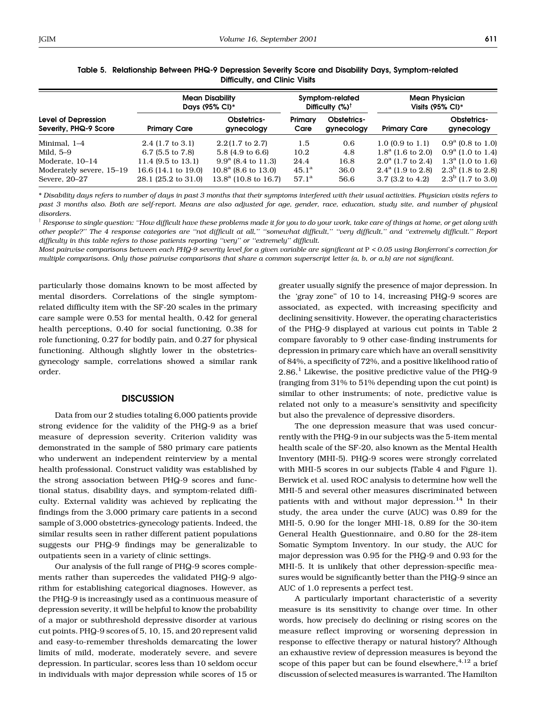|                                              | <b>Mean Disability</b><br>Days (95% CI)*   | Symptom-related<br>Difficulty (%) <sup>†</sup>          |                                  | <b>Mean Physician</b><br>Visits $(95\% \text{ Cl})^*$ |                                                               |                                              |
|----------------------------------------------|--------------------------------------------|---------------------------------------------------------|----------------------------------|-------------------------------------------------------|---------------------------------------------------------------|----------------------------------------------|
| Level of Depression<br>Severity, PHQ-9 Score | <b>Primary Care</b>                        | Obstetrics-<br>gynecology                               | Primary<br>Care                  | <b>Obstetrics-</b><br>gynecology                      | <b>Primary Care</b>                                           | <b>Obstetrics-</b><br>gynecology             |
| Minimal, 1-4                                 | $2.4$ (1.7 to 3.1)                         | $2.2(1.7 \text{ to } 2.7)$                              | 1.5                              | 0.6                                                   | 1.0 $(0.9 \text{ to } 1.1)$                                   | $0.9^{\rm a}$ (0.8 to 1.0)                   |
| Mild, 5–9                                    | 6.7 $(5.5 \text{ to } 7.8)$                | 5.8 (4.9 to 6.6)                                        | 10.2                             | 4.8                                                   | $1.8^{\rm a}$ (1.6 to 2.0)                                    | $0.9^a$ (1.0 to 1.4)                         |
| Moderate, 10-14                              | 11.4 $(9.5 \text{ to } 13.1)$              | $9.9^{\rm a}$ (8.4 to 11.3)                             | 24.4                             | 16.8                                                  | $2.0^{\circ}$ (1.7 to 2.4)                                    | $1.3^a$ (1.0 to 1.6)                         |
| Moderately severe, 15-19<br>Severe, 20-27    | 16.6 (14.1 to 19.0)<br>28.1 (25.2 to 31.0) | $10.8^{\rm a}$ (8.6 to 13.0)<br>$13.8^a$ (10.8 to 16.7) | $45.1^{\rm a}$<br>$57.1^{\rm a}$ | 36.0<br>56.6                                          | $2.4^{\mathrm{a}}$ (1.9 to 2.8)<br>$3.7(3.2 \text{ to } 4.2)$ | $2.3^b$ (1.8 to 2.8)<br>$2.3^b$ (1.7 to 3.0) |

### Table 5. Relationship Between PHQ-9 Depression Severity Score and Disability Days, Symptom-related Difficulty, and Clinic Visits

\* Disability days refers to number of days in past 3 months that their symptoms interfered with their usual activities. Physician visits refers to past 3 months also. Both are self-report. Means are also adjusted for age, gender, race, education, study site, and number of physical disorders.

 $^\dagger$  Response to single question: ''How difficult have these problems made it for you to do your work, take care of things at home, or get along with other people?" The 4 response categories are "not difficult at all," "somewhat difficult," "very difficult," and "extremely difficult." Report difficulty in this table refers to those patients reporting "very" or "extremely" difficult.

Most pairwise comparisons between each PHQ-9 severity level for a given variable are significant at P <sup>&</sup>lt; 0.05 using Bonferroni's correction for multiple comparisons. Only those pairwise comparisons that share a common superscript letter (a, b, or a,b} are not significant.

particularly those domains known to be most affected by mental disorders. Correlations of the single symptomrelated difficulty item with the SF-20 scales in the primary care sample were 0.53 for mental health, 0.42 for general health perceptions, 0.40 for social functioning, 0.38 for role functioning, 0.27 for bodily pain, and 0.27 for physical functioning. Although slightly lower in the obstetricsgynecology sample, correlations showed a similar rank order.

### **DISCUSSION**

Data from our 2 studies totaling 6,000 patients provide strong evidence for the validity of the PHQ-9 as a brief measure of depression severity. Criterion validity was demonstrated in the sample of 580 primary care patients who underwent an independent reinterview by a mental health professional. Construct validity was established by the strong association between PHQ-9 scores and functional status, disability days, and symptom-related difficulty. External validity was achieved by replicating the findings from the 3,000 primary care patients in a second sample of 3,000 obstetrics-gynecology patients. Indeed, the similar results seen in rather different patient populations suggests our PHQ-9 findings may be generalizable to outpatients seen in a variety of clinic settings.

Our analysis of the full range of PHQ-9 scores complements rather than supercedes the validated PHQ-9 algorithm for establishing categorical diagnoses. However, as the PHQ-9 is increasingly used as a continuous measure of depression severity, it will be helpful to know the probability of a major or subthreshold depressive disorder at various cut points. PHQ-9 scores of 5, 10, 15, and 20 represent valid and easy-to-remember thresholds demarcating the lower limits of mild, moderate, moderately severe, and severe depression. In particular, scores less than 10 seldom occur in individuals with major depression while scores of 15 or

greater usually signify the presence of major depression. In the 'gray zone" of 10 to 14, increasing  $PHQ-9$  scores are associated, as expected, with increasing specificity and declining sensitivity. However, the operating characteristics of the PHQ-9 displayed at various cut points in Table 2 compare favorably to 9 other case-finding instruments for depression in primary care which have an overall sensitivity of 84%, a specificity of 72%, and a positive likelihood ratio of  $2.86<sup>1</sup>$  Likewise, the positive predictive value of the PHQ-9 (ranging from 31% to 51% depending upon the cut point) is similar to other instruments: of note, predictive value is related not only to a measure's sensitivity and specificity but also the prevalence of depressive disorders.

The one depression measure that was used concurrently with the PHQ-9 in our subjects was the 5-item mental health scale of the SF-20, also known as the Mental Health Inventory (MHI-5). PHQ-9 scores were strongly correlated with MHI-5 scores in our subjects (Table 4and Figure 1). Berwick et al. used ROC analysis to determine how well the MHI-5 and several other measures discriminated between patients with and without major depression.<sup>14</sup> In their study, the area under the curve (AUC) was 0.89 for the MHI-5, 0.90 for the longer MHI-18, 0.89 for the 30-item General Health Questionnaire, and 0.80 for the 28-item Somatic Symptom Inventory. In our study, the AUC for major depression was 0.95 for the PHQ-9 and 0.93 for the MHI-5. It is unlikely that other depression-specific measures would be significantly better than the PHQ-9 since an AUC of 1.0 represents a perfect test.

A particularly important characteristic of a severity measure is its sensitivity to change over time. In other words, how precisely do declining or rising scores on the measure reflect improving or worsening depression in response to effective therapy or natural history? Although an exhaustive review of depression measures is beyond the scope of this paper but can be found elsewhere,  $4,12$  a brief discussion of selected measures is warranted. The Hamilton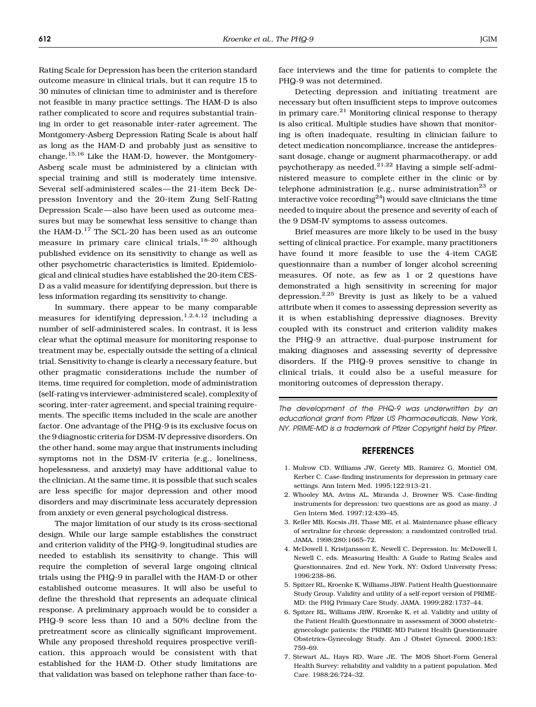Rating Scale for Depression has been the criterion standard outcome measure in clinical trials, but it can require 15 to 30 minutes of clinician time to administer and is therefore not feasible in many practice settings. The HAM-D is also rather complicated to score and requires substantial training in order to get reasonable inter-rater agreement. The Montgomery-Asberg Depression Rating Scale is about half as long as the HAM-D and probably just as sensitive to change.15,16 Like the HAM-D, however, the Montgomery-Asberg scale must be administered by a clinician with special training and still is moderately time intensive. Several self-administered scales-the 21-item Beck Depression Inventory and the 20-item Zung Self-Rating Depression Scale-also have been used as outcome measures but may be somewhat less sensitive to change than the HAM-D. $^{17}$  The SCL-20 has been used as an outcome measure in primary care clinical trials,  $18-20$  although published evidence on its sensitivity to change as well as other psychometric characteristics is limited. Epidemiological and clinical studies have established the 20-item CES-D as a valid measure for identifying depression, but there is less information regarding its sensitivity to change.

In summary, there appear to be many comparable measures for identifying depression,  $1,2,4,12$  including a number of self-administered scales. In contrast, it is less clear what the optimal measure for monitoring response to treatment may be, especially outside the setting of a clinical trial. Sensitivity to change is clearly a necessary feature, but other pragmatic considerations include the number of items, time required for completion, mode of administration (self-rating vs interviewer-administered scale), complexity of scoring, inter-rater agreement, and special training requirements. The specific items included in the scale are another factor. One advantage of the PHQ-9 is its exclusive focus on the 9 diagnostic criteria for DSM-IV depressive disorders. On the other hand, some may argue that instruments including symptoms not in the DSM-IV criteria (e.g., loneliness, hopelessness, and anxiety) may have additional value to the clinician. At the same time, it is possible that such scales are less specific for major depression and other mood disorders and may discriminate less accurately depression from anxiety or even general psychological distress.

The major limitation of our study is its cross-sectional design. While our large sample establishes the construct and criterion validity of the PHQ-9, longitudinal studies are needed to establish its sensitivity to change. This will require the completion of several large ongoing clinical trials using the PHQ-9 in parallel with the HAM-D or other established outcome measures. It will also be useful to define the threshold that represents an adequate clinical response. A preliminary approach would be to consider a PHQ-9 score less than 10 and a 50% decline from the pretreatment score as clinically significant improvement. While any proposed threshold requires prospective verification, this approach would be consistent with that established for the HAM-D. Other study limitations are that validation was based on telephone rather than face-toface interviews and the time for patients to complete the PHQ-9 was not determined.

Detecting depression and initiating treatment are necessary but often insufficient steps to improve outcomes in primary care. $^{21}$  Monitoring clinical response to therapy is also critical. Multiple studies have shown that monitoring is often inadequate, resulting in clinician failure to detect medication noncompliance, increase the antidepressant dosage, change or augment pharmacotherapy, or add psychotherapy as needed.<sup>21,22</sup> Having a simple self-administered measure to complete either in the clinic or by telephone administration (e.g., nurse administration<sup>23</sup> or interactive voice recording $^{24}$ ) would save clinicians the time needed to inquire about the presence and severity of each of the 9 DSM-IV symptoms to assess outcomes.

Brief measures are more likely to be used in the busy setting of clinical practice. For example, many practitioners have found it more feasible to use the 4-item CAGE questionnaire than a number of longer alcohol screening measures. Of note, as few as 1 or 2 questions have demonstrated a high sensitivity in screening for major depression.<sup>2,25</sup> Brevity is just as likely to be a valued attribute when it comes to assessing depression severity as it is when establishing depressive diagnoses. Brevity coupled with its construct and criterion validity makes the PHQ-9 an attractive, dual-purpose instrument for making diagnoses and assessing severity of depressive disorders. If the PHQ-9 proves sensitive to change in clinical trials, it could also be a useful measure for monitoring outcomes of depression therapy.

The development of the PHQ-9 was underwritten by an educational grant from Pfizer US Pharmaceuticals, New York, NY. PRIME-MD is a trademark of Pfizer Copyright held by Pfizer.

### **REFERENCES**

- 1. Mulrow CD, Williams JW, Gerety MB, Ramirez G, Montiel OM, Kerber C. Case-finding instruments for depression in primary care settings. Ann Intern Med. 1995:122:913-21.
- 2. Whooley MA, Avins AL, Miranda J, Browner WS. Case-finding instruments for depression: two questions are as good as many. J Gen Intern Med. 1997:12:439-45.
- 3. Keller MB, Kocsis JH, Thase ME, et al. Maintenance phase efficacy of sertraline for chronic depression: a randomized controlled trial. JAMA. 1998:280:1665-72.
- 4. McDowell I, Kristjansson E, Newell C. Depression. In: McDowell I, Newell C, eds. Measuring Health: A Guide to Rating Scales and Questionnaires. 2nd ed. New York, NY: Oxford University Press: 1996:238-86.
- 5. Spitzer RL, Kroenke K, Williams JBW. Patient Health Questionnaire Study Group. Validity and utility of a self-report version of PRIME-MD: the PHQ Primary Care Study. JAMA. 1999:282:1737-44.
- 6. Spitzer RL, Williams JBW, Kroenke K, et al. Validity and utility of the Patient Health Questionnaire in assessment of 3000 obstetricgynecologic patients: the PRIME-MD Patient Health Questionnaire Obstetrics-Gynecology Study. Am J Obstet Gynecol. 2000:183: 759-69.
- 7. Stewart AL, Hays RD, Ware JE. The MOS Short-Form General Health Survey: reliability and validity in a patient population. Med Care. 1988:26:724-32.